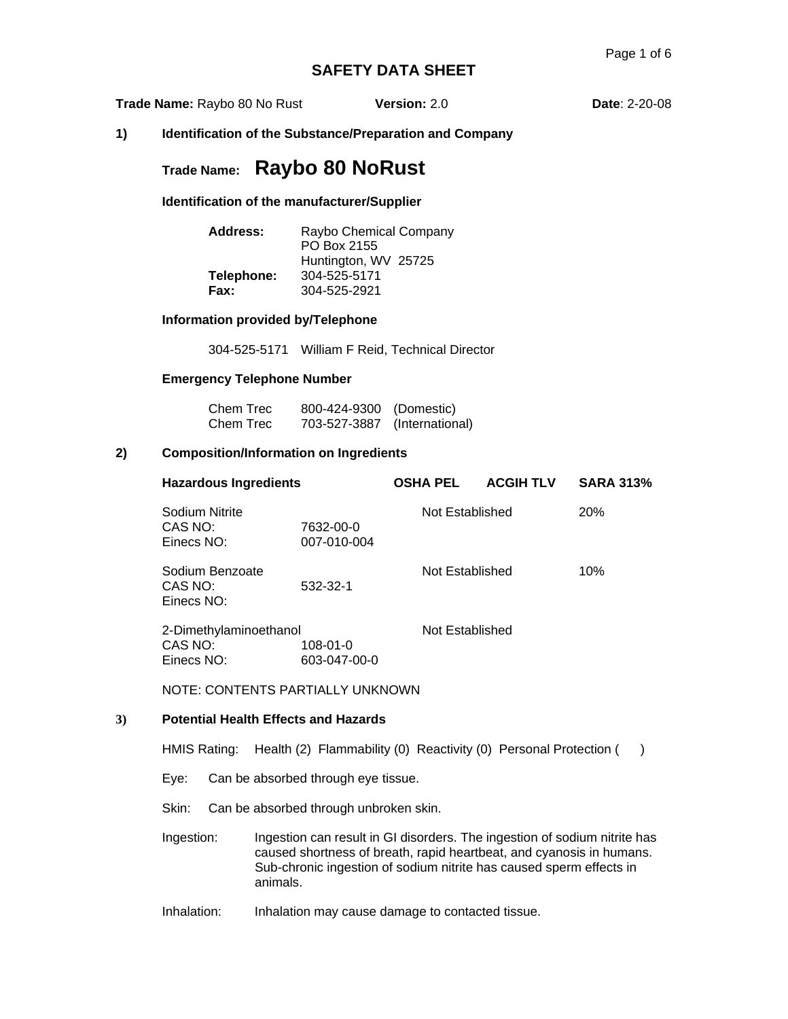**Trade Name:** Raybo 80 No Rust **Version:** 2.0 **Date**: 2-20-08

### **1) Identification of the Substance/Preparation and Company**

# **Trade Name: Raybo 80 NoRust**

### **Identification of the manufacturer/Supplier**

| Address:   | Raybo Chemical Company<br>PO Box 2155 |
|------------|---------------------------------------|
|            | Huntington, WV 25725                  |
| Telephone: | 304-525-5171                          |
| Fax:       | 304-525-2921                          |

#### **Information provided by/Telephone**

304-525-5171 William F Reid, Technical Director

# **Emergency Telephone Number**

| Chem Trec | 800-424-9300 (Domestic)      |  |
|-----------|------------------------------|--|
| Chem Trec | 703-527-3887 (International) |  |

# **2) Composition/Information on Ingredients**

| <b>Hazardous Ingredients</b>             |                          | <b>OSHA PEL</b> | <b>ACGIH TLV</b> | <b>SARA 313%</b> |
|------------------------------------------|--------------------------|-----------------|------------------|------------------|
| Sodium Nitrite<br>CAS NO:<br>Einecs NO:  | 7632-00-0<br>007-010-004 | Not Established |                  | 20%              |
| Sodium Benzoate<br>CAS NO:<br>Einecs NO: | 532-32-1                 | Not Established |                  | 10%              |
| 2-Dimethylaminoethanol                   |                          | Not Established |                  |                  |
| CAS NO:                                  | 108-01-0                 |                 |                  |                  |
| Einecs NO:                               | 603-047-00-0             |                 |                  |                  |

NOTE: CONTENTS PARTIALLY UNKNOWN

## **3) Potential Health Effects and Hazards**

HMIS Rating: Health (2) Flammability (0) Reactivity (0) Personal Protection ()

Eye: Can be absorbed through eye tissue.

Skin: Can be absorbed through unbroken skin.

Ingestion: Ingestion can result in GI disorders. The ingestion of sodium nitrite has caused shortness of breath, rapid heartbeat, and cyanosis in humans. Sub-chronic ingestion of sodium nitrite has caused sperm effects in animals.

Inhalation: Inhalation may cause damage to contacted tissue.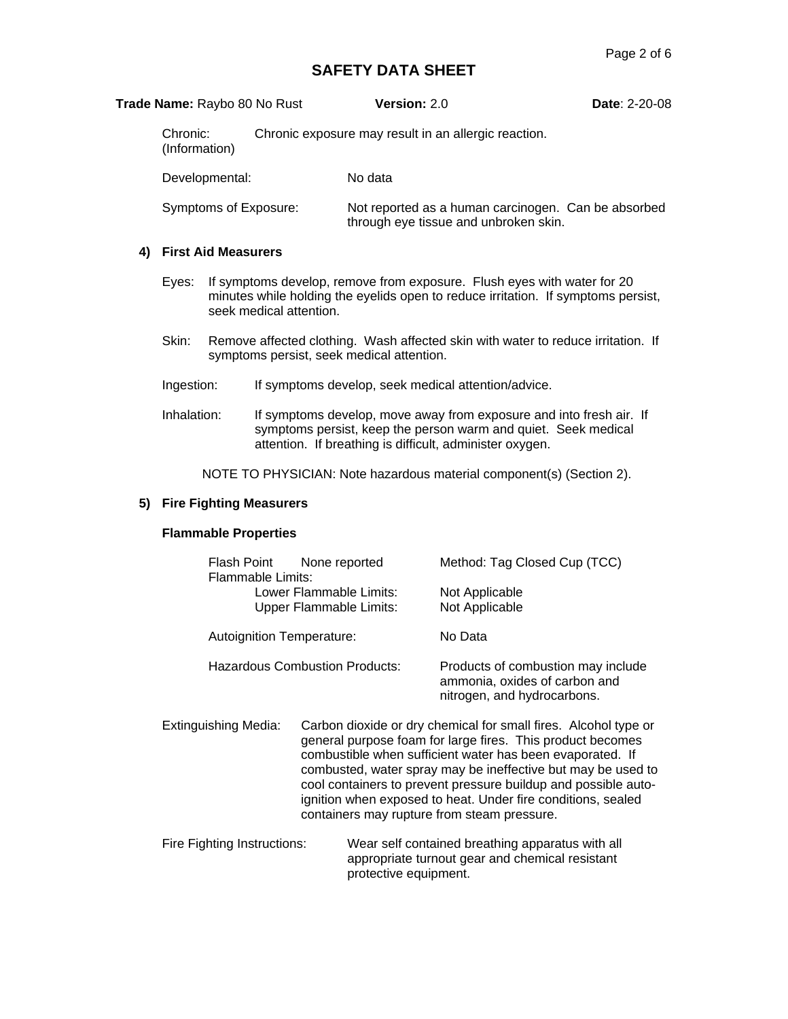| Trade Name: Raybo 80 No Rust | <b>Version: 2.0</b>                                                                          | <b>Date: 2-20-08</b> |
|------------------------------|----------------------------------------------------------------------------------------------|----------------------|
| Chronic:<br>(Information)    | Chronic exposure may result in an allergic reaction.                                         |                      |
| Developmental:               | No data                                                                                      |                      |
| Symptoms of Exposure:        | Not reported as a human carcinogen. Can be absorbed<br>through eye tissue and unbroken skin. |                      |

# **4) First Aid Measurers**

- Eyes: If symptoms develop, remove from exposure. Flush eyes with water for 20 minutes while holding the eyelids open to reduce irritation. If symptoms persist, seek medical attention.
- Skin: Remove affected clothing. Wash affected skin with water to reduce irritation. If symptoms persist, seek medical attention.
- Ingestion: If symptoms develop, seek medical attention/advice.
- Inhalation: If symptoms develop, move away from exposure and into fresh air. If symptoms persist, keep the person warm and quiet. Seek medical attention. If breathing is difficult, administer oxygen.

NOTE TO PHYSICIAN: Note hazardous material component(s) (Section 2).

### **5) Fire Fighting Measurers**

#### **Flammable Properties**

| Flash Point<br>Flammable Limits: | None reported<br>Lower Flammable Limits:<br><b>Upper Flammable Limits:</b> | Method: Tag Closed Cup (TCC)<br>Not Applicable<br>Not Applicable                                   |
|----------------------------------|----------------------------------------------------------------------------|----------------------------------------------------------------------------------------------------|
| Autoignition Temperature:        |                                                                            | No Data                                                                                            |
| Hazardous Combustion Products:   |                                                                            | Products of combustion may include<br>ammonia, oxides of carbon and<br>nitrogen, and hydrocarbons. |

- Extinguishing Media: Carbon dioxide or dry chemical for small fires. Alcohol type or general purpose foam for large fires. This product becomes combustible when sufficient water has been evaporated. If combusted, water spray may be ineffective but may be used to cool containers to prevent pressure buildup and possible autoignition when exposed to heat. Under fire conditions, sealed containers may rupture from steam pressure.
- Fire Fighting Instructions: Wear self contained breathing apparatus with all appropriate turnout gear and chemical resistant protective equipment.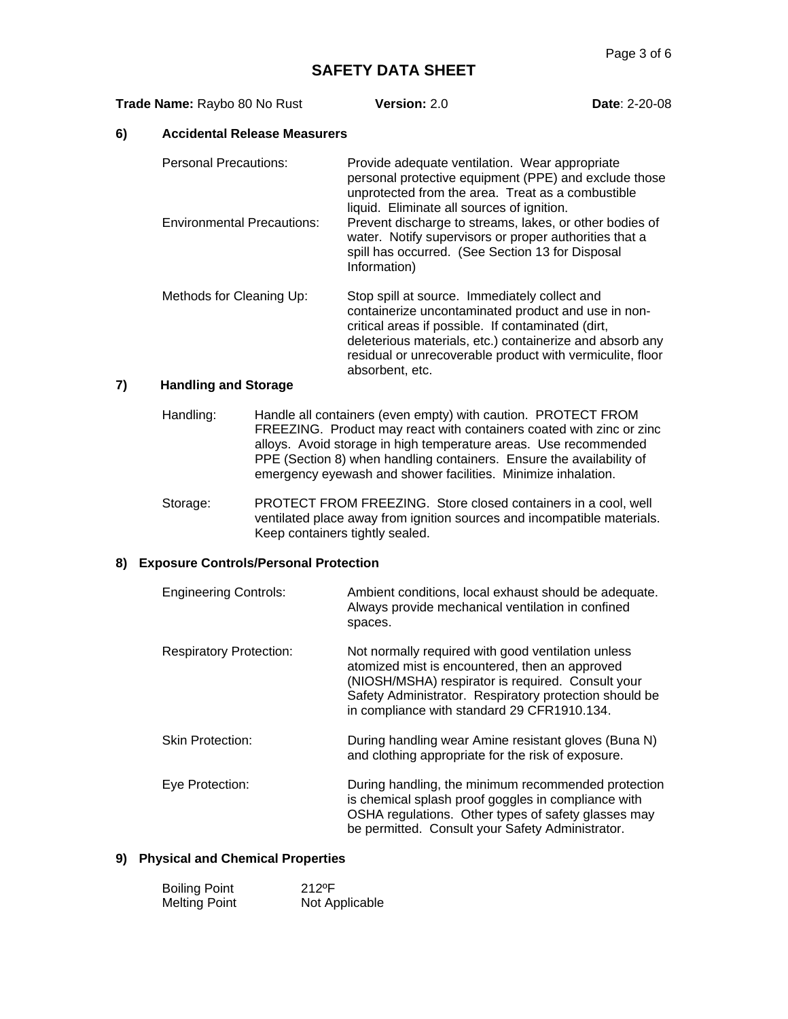**Trade Name:** 2.0 **Date**: 2-20-08

#### **6) Accidental Release Measurers**

| <b>Personal Precautions:</b>      | Provide adequate ventilation. Wear appropriate<br>personal protective equipment (PPE) and exclude those<br>unprotected from the area. Treat as a combustible<br>liquid. Eliminate all sources of ignition.             |
|-----------------------------------|------------------------------------------------------------------------------------------------------------------------------------------------------------------------------------------------------------------------|
| <b>Environmental Precautions:</b> | Prevent discharge to streams, lakes, or other bodies of<br>water. Notify supervisors or proper authorities that a<br>spill has occurred. (See Section 13 for Disposal<br>Information)                                  |
| Methods for Cleaning Up:          | Stop spill at source. Immediately collect and<br>containerize uncontaminated product and use in non-<br>critical areas if possible. If contaminated (dirt,<br>deleterious materials, etc.) containerize and absorb any |

residual or unrecoverable product with vermiculite, floor

## **7) Handling and Storage**

Handling: Handle all containers (even empty) with caution. PROTECT FROM FREEZING. Product may react with containers coated with zinc or zinc alloys. Avoid storage in high temperature areas. Use recommended PPE (Section 8) when handling containers. Ensure the availability of emergency eyewash and shower facilities. Minimize inhalation.

absorbent, etc.

Storage: PROTECT FROM FREEZING. Store closed containers in a cool, well ventilated place away from ignition sources and incompatible materials. Keep containers tightly sealed.

## **8) Exposure Controls/Personal Protection**

| <b>Engineering Controls:</b>   | Ambient conditions, local exhaust should be adequate.<br>Always provide mechanical ventilation in confined<br>spaces.                                                                                                                                              |
|--------------------------------|--------------------------------------------------------------------------------------------------------------------------------------------------------------------------------------------------------------------------------------------------------------------|
| <b>Respiratory Protection:</b> | Not normally required with good ventilation unless<br>atomized mist is encountered, then an approved<br>(NIOSH/MSHA) respirator is required. Consult your<br>Safety Administrator. Respiratory protection should be<br>in compliance with standard 29 CFR1910.134. |
| <b>Skin Protection:</b>        | During handling wear Amine resistant gloves (Buna N)<br>and clothing appropriate for the risk of exposure.                                                                                                                                                         |
| Eye Protection:                | During handling, the minimum recommended protection<br>is chemical splash proof goggles in compliance with<br>OSHA regulations. Other types of safety glasses may<br>be permitted. Consult your Safety Administrator.                                              |

# **9) Physical and Chemical Properties**

| <b>Boiling Point</b> | 212°F          |
|----------------------|----------------|
| <b>Melting Point</b> | Not Applicable |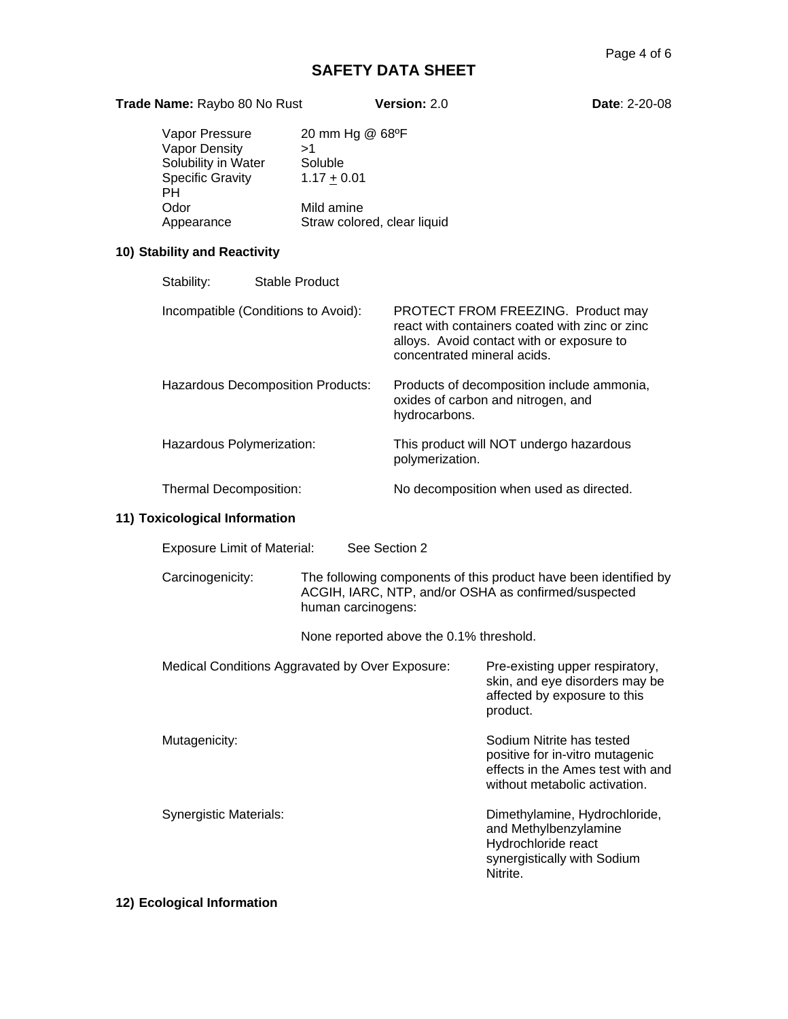| Trade Name: Raybo 80 No Rust                                                      |                                                   | Version: 2.0  | <b>Date: 2-20-08</b>                                                                                                                                             |  |
|-----------------------------------------------------------------------------------|---------------------------------------------------|---------------|------------------------------------------------------------------------------------------------------------------------------------------------------------------|--|
| Vapor Pressure<br>Vapor Density<br>Solubility in Water<br><b>Specific Gravity</b> | 20 mm Hg @ 68°F<br>>1<br>Soluble<br>$1.17 + 0.01$ |               |                                                                                                                                                                  |  |
| <b>PH</b><br>Odor<br>Appearance                                                   | Mild amine<br>Straw colored, clear liquid         |               |                                                                                                                                                                  |  |
| 10) Stability and Reactivity                                                      |                                                   |               |                                                                                                                                                                  |  |
| Stability:                                                                        | <b>Stable Product</b>                             |               |                                                                                                                                                                  |  |
| Incompatible (Conditions to Avoid):                                               |                                                   |               | PROTECT FROM FREEZING. Product may<br>react with containers coated with zinc or zinc<br>alloys. Avoid contact with or exposure to<br>concentrated mineral acids. |  |
| Hazardous Decomposition Products:                                                 |                                                   | hydrocarbons. | Products of decomposition include ammonia,<br>oxides of carbon and nitrogen, and                                                                                 |  |
| Hazardous Polymerization:                                                         |                                                   |               | This product will NOT undergo hazardous<br>polymerization.                                                                                                       |  |
| Thermal Decomposition:                                                            |                                                   |               | No decomposition when used as directed.                                                                                                                          |  |
| 11) Toxicological Information                                                     |                                                   |               |                                                                                                                                                                  |  |
| <b>Exposure Limit of Material:</b>                                                |                                                   | See Section 2 |                                                                                                                                                                  |  |
| Carcinogenicity:                                                                  | human carcinogens:                                |               | The following components of this product have been identified by<br>ACGIH, IARC, NTP, and/or OSHA as confirmed/suspected                                         |  |
|                                                                                   | None reported above the 0.1% threshold.           |               |                                                                                                                                                                  |  |
|                                                                                   | Medical Conditions Aggravated by Over Exposure:   |               | Pre-existing upper respiratory,<br>skin, and eye disorders may be<br>affected by exposure to this<br>product.                                                    |  |
| Mutagenicity:                                                                     |                                                   |               | Sodium Nitrite has tested<br>positive for in-vitro mutagenic<br>effects in the Ames test with and<br>without metabolic activation.                               |  |
| <b>Synergistic Materials:</b>                                                     |                                                   |               | Dimethylamine, Hydrochloride,<br>and Methylbenzylamine<br>Hydrochloride react<br>synergistically with Sodium<br>Nitrite.                                         |  |
| 12) Ecological Information                                                        |                                                   |               |                                                                                                                                                                  |  |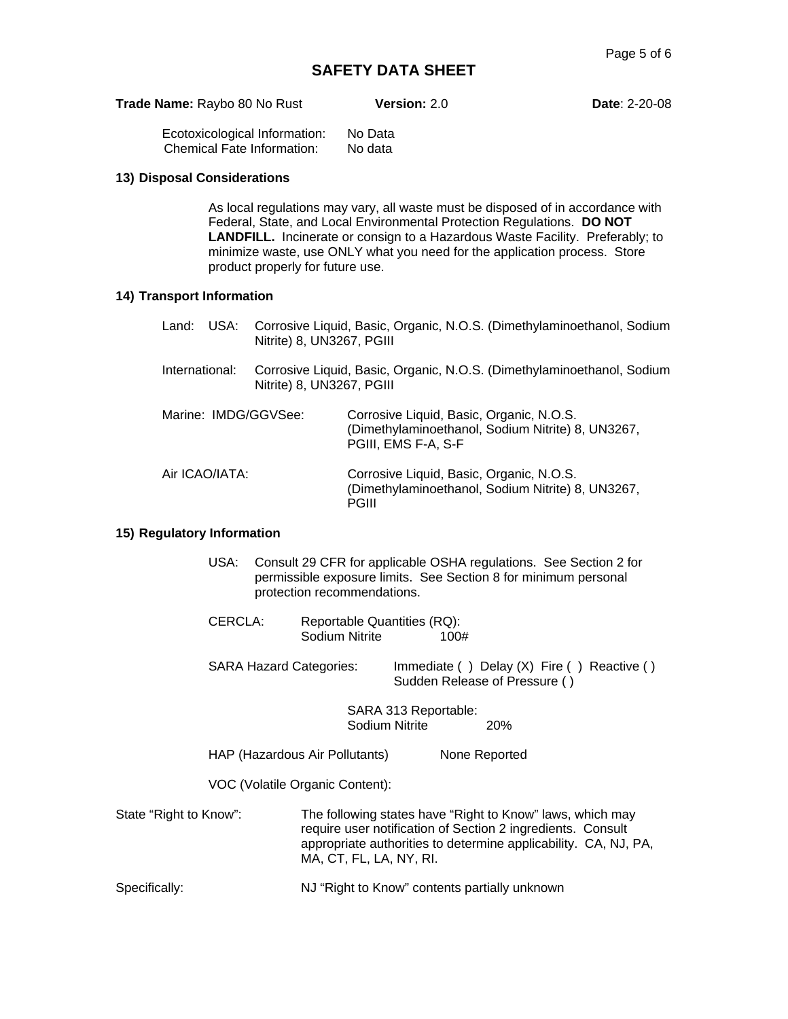| <b>Trade Name: Raybo 80 No Rust</b> | <b>Version: 2.0</b> |
|-------------------------------------|---------------------|
|                                     |                     |

**Date: 2-20-08** 

Ecotoxicological Information: No Data Chemical Fate Information:

#### **13) Disposal Considerations**

As local regulations may vary, all waste must be disposed of in accordance with Federal, State, and Local Environmental Protection Regulations. **DO NOT LANDFILL.** Incinerate or consign to a Hazardous Waste Facility. Preferably; to minimize waste, use ONLY what you need for the application process. Store product properly for future use.

# **14) Transport Information**

|                      | Nitrite) 8, UN3267, PGIII | Land: USA: Corrosive Liquid, Basic, Organic, N.O.S. (Dimethylaminoethanol, Sodium                                    |
|----------------------|---------------------------|----------------------------------------------------------------------------------------------------------------------|
| International:       | Nitrite) 8, UN3267, PGIII | Corrosive Liquid, Basic, Organic, N.O.S. (Dimethylaminoethanol, Sodium                                               |
| Marine: IMDG/GGVSee: |                           | Corrosive Liquid, Basic, Organic, N.O.S.<br>(Dimethylaminoethanol, Sodium Nitrite) 8, UN3267,<br>PGIII, EMS F-A, S-F |
| Air ICAO/IATA:       |                           | Corrosive Liquid, Basic, Organic, N.O.S.<br>(Dimethylaminoethanol, Sodium Nitrite) 8, UN3267,<br>PGIII               |

#### **15) Regulatory Information**

- USA: Consult 29 CFR for applicable OSHA regulations. See Section 2 for permissible exposure limits. See Section 8 for minimum personal protection recommendations.
- CERCLA: Reportable Quantities (RQ): Sodium Nitrite 100#
- SARA Hazard Categories: Immediate () Delay (X) Fire () Reactive () Sudden Release of Pressure ( )

SARA 313 Reportable: Sodium Nitrite 20%

HAP (Hazardous Air Pollutants) None Reported

VOC (Volatile Organic Content):

- State "Right to Know": The following states have "Right to Know" laws, which may require user notification of Section 2 ingredients. Consult appropriate authorities to determine applicability. CA, NJ, PA, MA, CT, FL, LA, NY, RI.
- Specifically: NJ "Right to Know" contents partially unknown